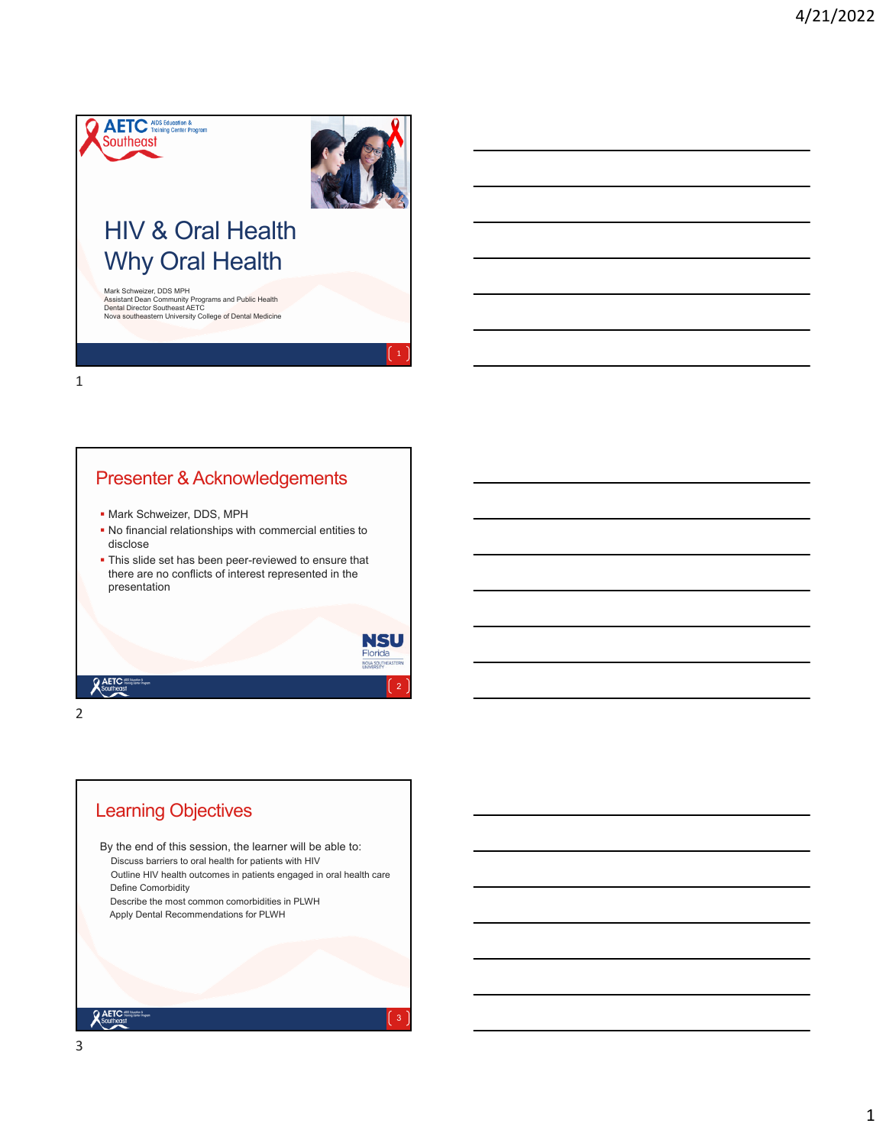

Mark Schweizer, DDS MPH<br>Assistant Dean Community Programs and Public Health<br>Dental Director Southeast AETC<br>Nova southeastern University College o<mark>f Dental Medicine</mark>

1

#### Presenter & Acknowledgements

- **· Mark Schweizer, DDS, MPH**
- No financial relationships with commercial entities to disclose
- **This slide set has been peer-reviewed to ensure that** there are no conflicts of interest represented in the presentation



1

2

**Q AETC**<br>Southed

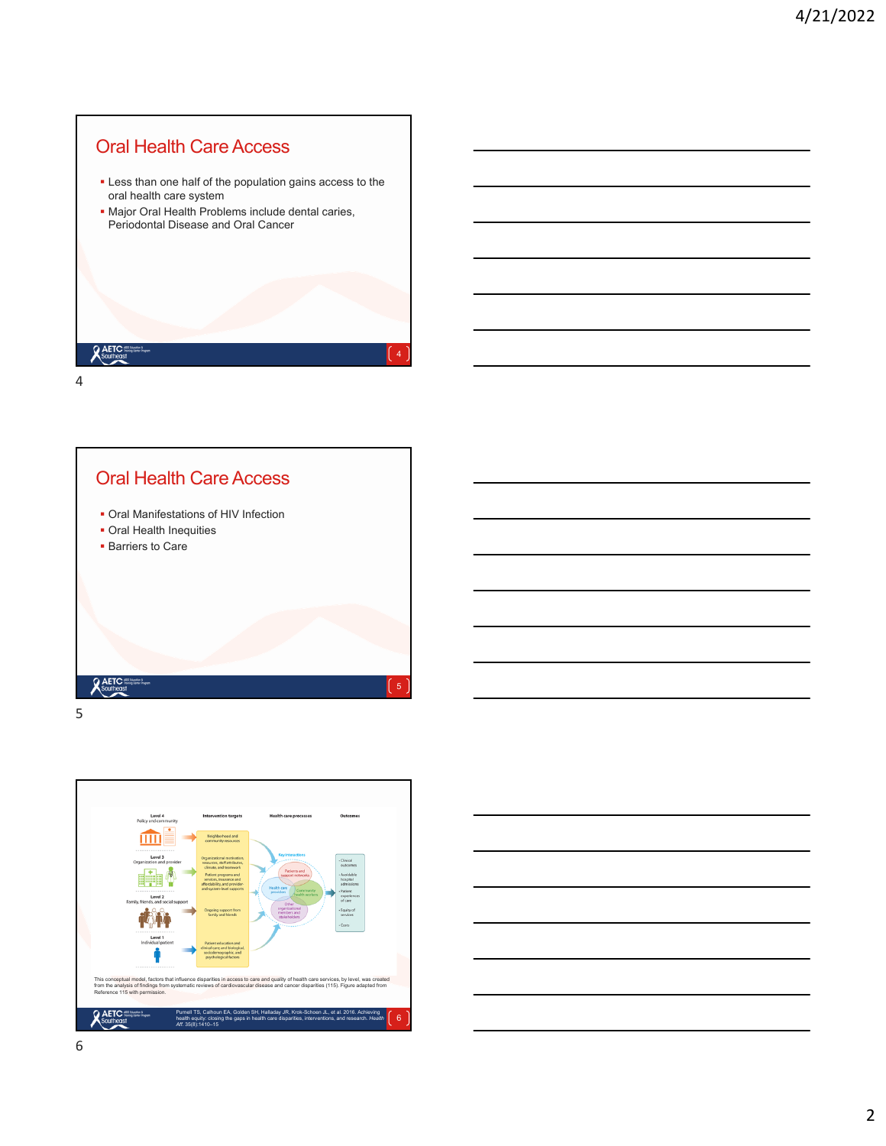# Oral Health Care Access

- Less than one half of the population gains access to the oral health care system
- **Major Oral Health Problems include dental caries,** Periodontal Disease and Oral Cancer



4





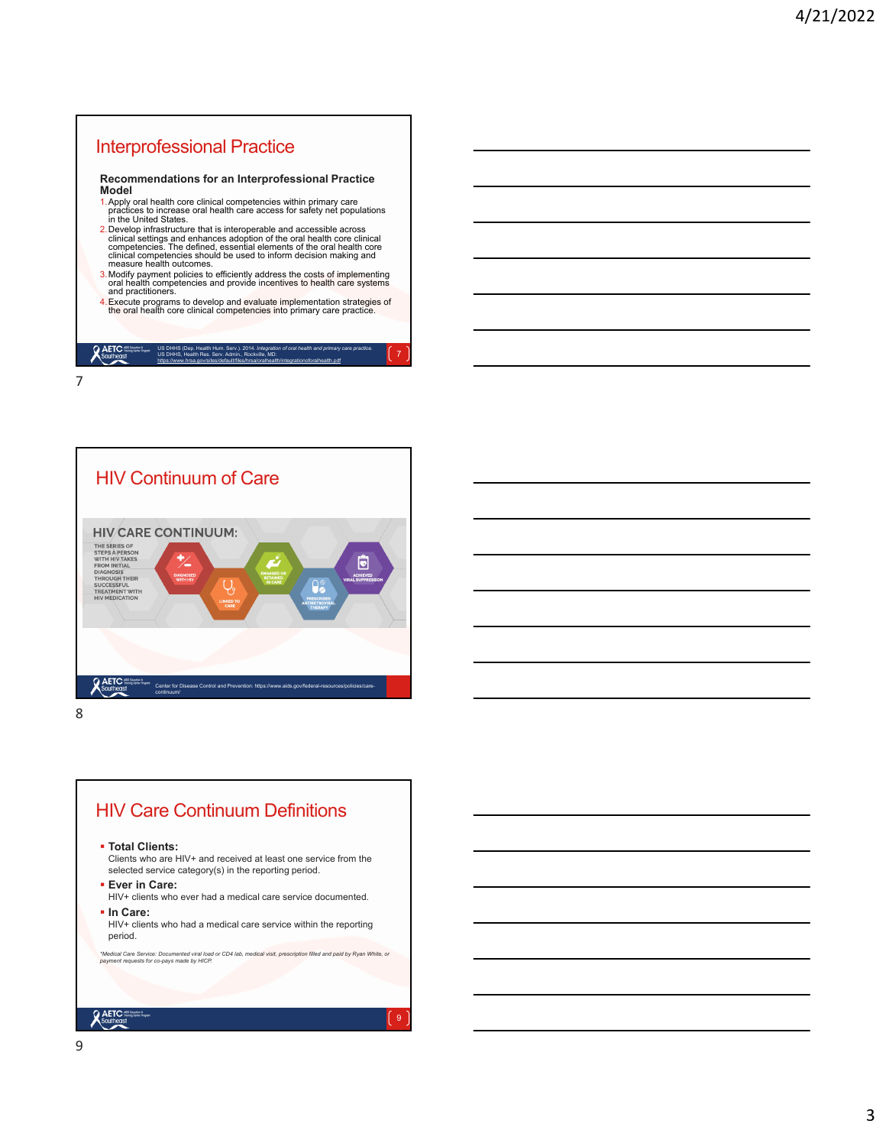### Interprofessional Practice

**Recommendations for an Interprofessional Practice Model**

- 1.Apply oral health core clinical competencies within primary care practices to increase oral health care access for safety net populations in the United States.
- 2.Develop infrastructure that is interoperable and accessible across clinical settings and enhances adoption of the oral health core clinical<br>competencies. The defined, essential elements of the oral health core<br>clinical competencies should be used to inform decision making and<br>measure heal
- 3.Modify payment policies to efficiently address the costs of implementing oral health competencies and provide incentives to health care systems and practitioners.
- 4.Execute programs to develop and evaluate implementation strategies of the oral health core clinical competencies into primary care practice.

| <b>AETC</b> ACG Education &<br><b>.</b> Southeast | US DHHS (Dep. Health Hum. Serv.), 2014. Integration of oral health and primary care practice.<br>US DHHS, Health Res. Serv. Admin., Rockville, MD:<br>https://www.hrsa.gov/sites/default/files/hrsa/oralhealth/integrationoforalhealth.pdf |  |
|---------------------------------------------------|--------------------------------------------------------------------------------------------------------------------------------------------------------------------------------------------------------------------------------------------|--|
|                                                   |                                                                                                                                                                                                                                            |  |

7



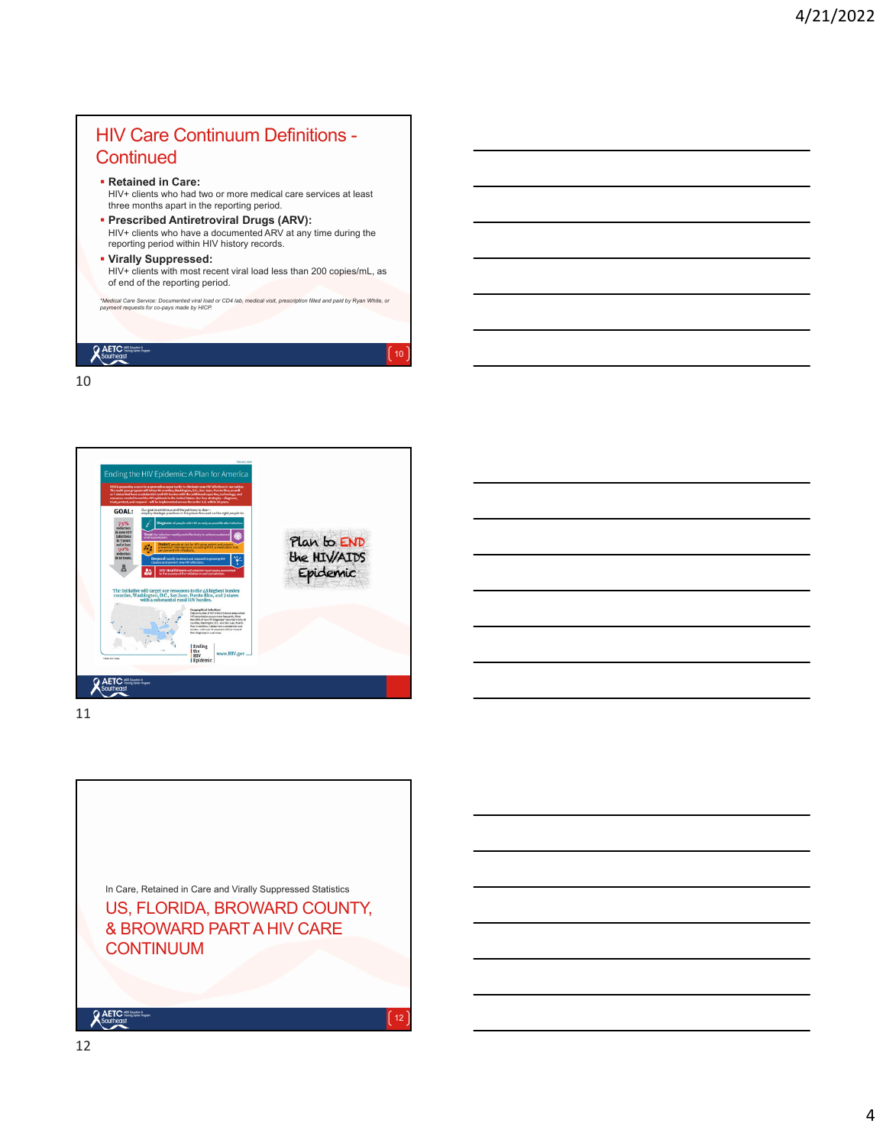# HIV Care Continuum Definitions - **Continued**

**Retained in Care:** 

HIV+ clients who had two or more medical care services at least three months apart in the reporting period.

- **Prescribed Antiretroviral Drugs (ARV):**  HIV+ clients who have a documented ARV at any time during the reporting period within HIV history records.
- **Virally Suppressed:**  HIV+ clients with most recent viral load less than 200 copies/mL, as of end of the reporting period.

*\*Medical Care Service: Documented viral load or CD4 lab, medical visit, prescription filled and paid by Ryan White, or payment requests for co-pays made by HICP.* 





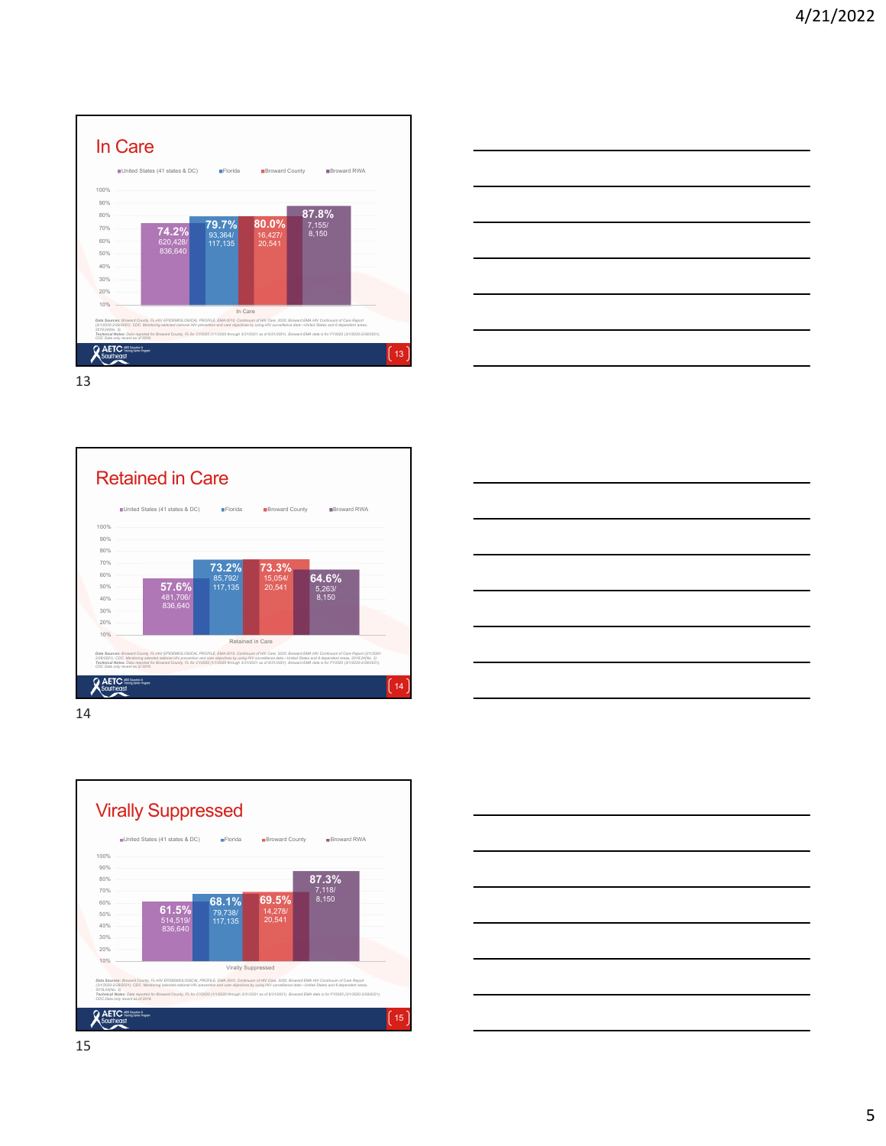









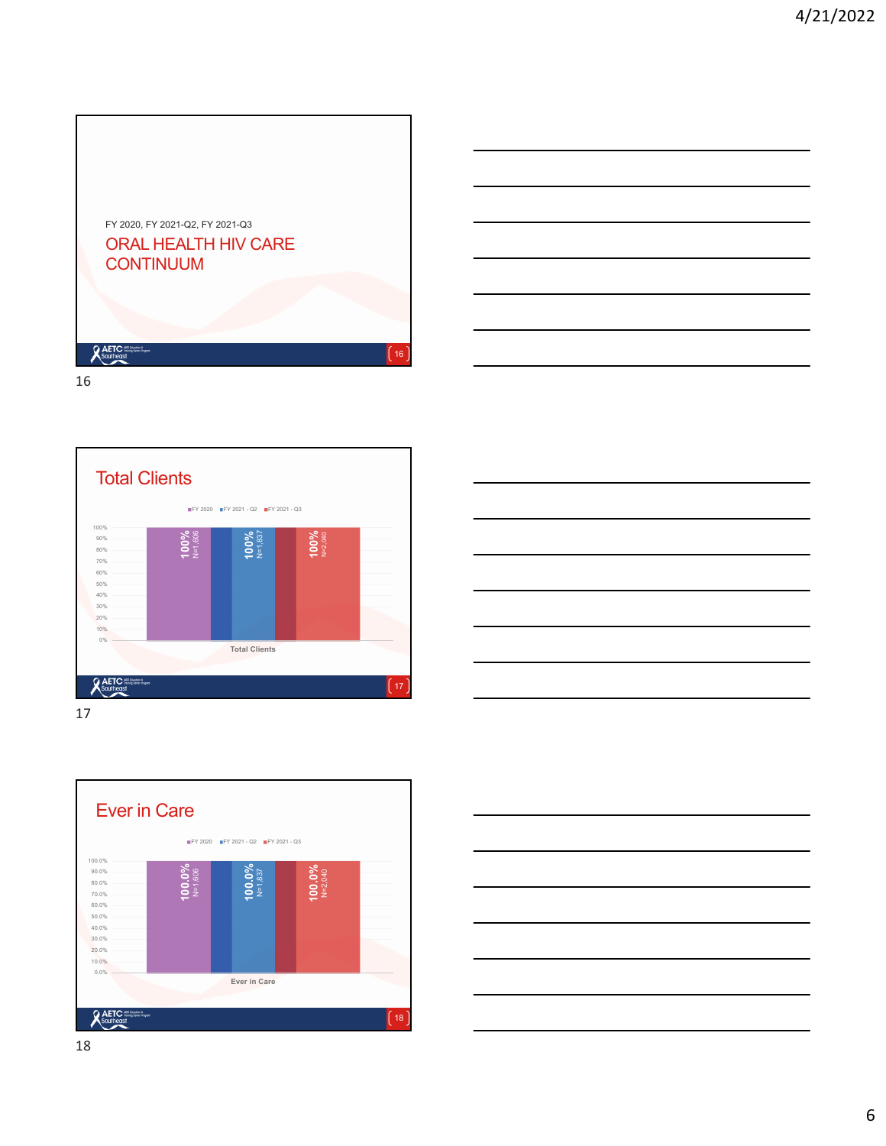



17



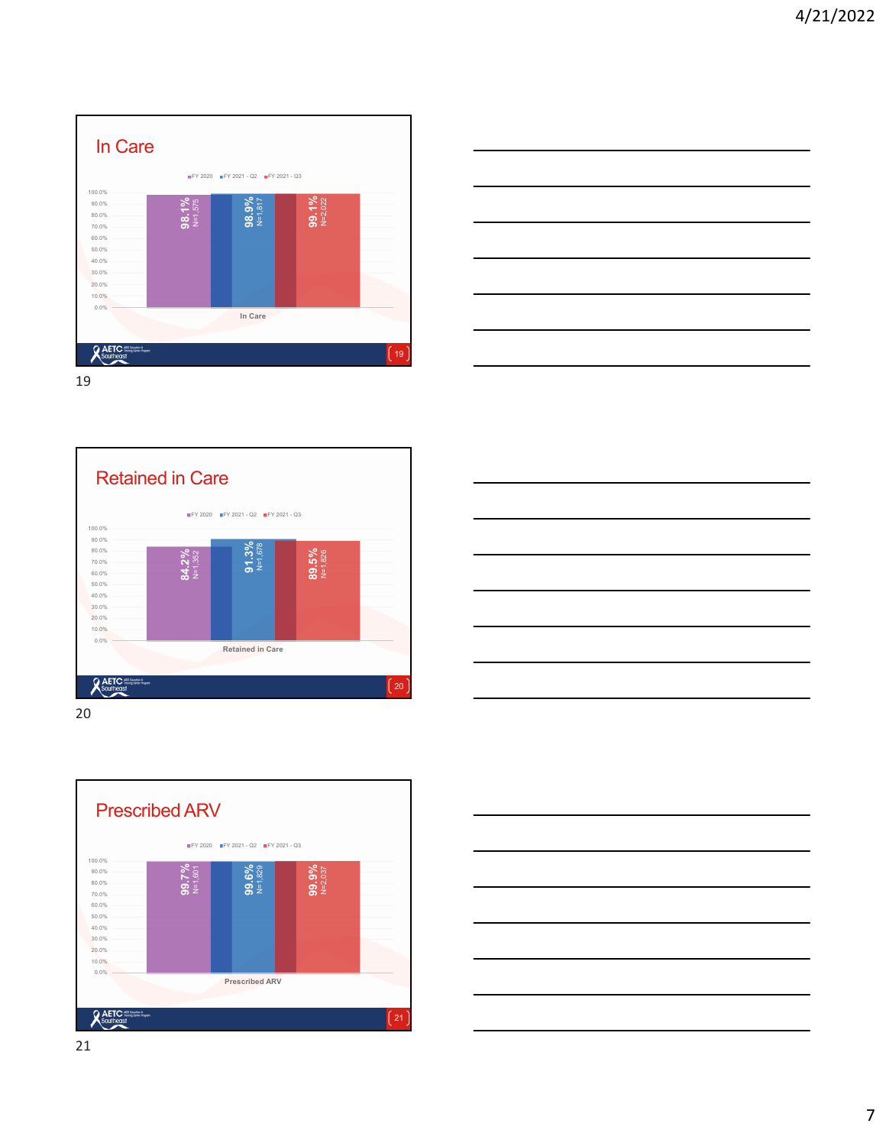



Retained in Care  $FY 2020$  FY 2021 - Q2 FFY 2021 - Q3 100.0% 90.0% **91.3%** N=1,678 80.0% **84.2%** N=1,352 **89.5%** N=1,826 70.0% 60.0% 50.0% 40.0% 30.0% 20.0% 10.0% 0.0% **Retained in Care AETC**<br>Southeas  $\left(20\right)$ 

20





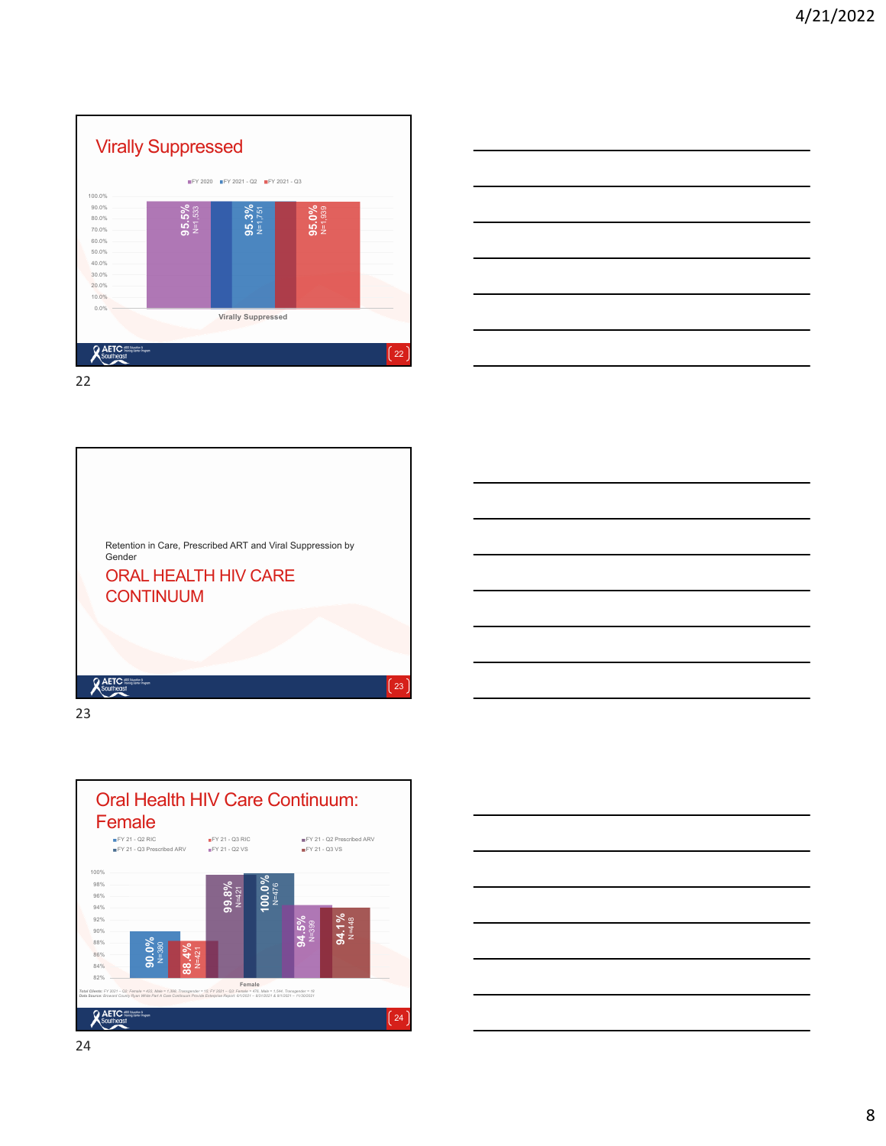



Retention in Care, Prescribed ART and Viral Suppression by Gender ORAL HEALTH HIV CARE **CONTINUUM AETC**<br>Southeds  $\left( \frac{23}{2} \right)$ 



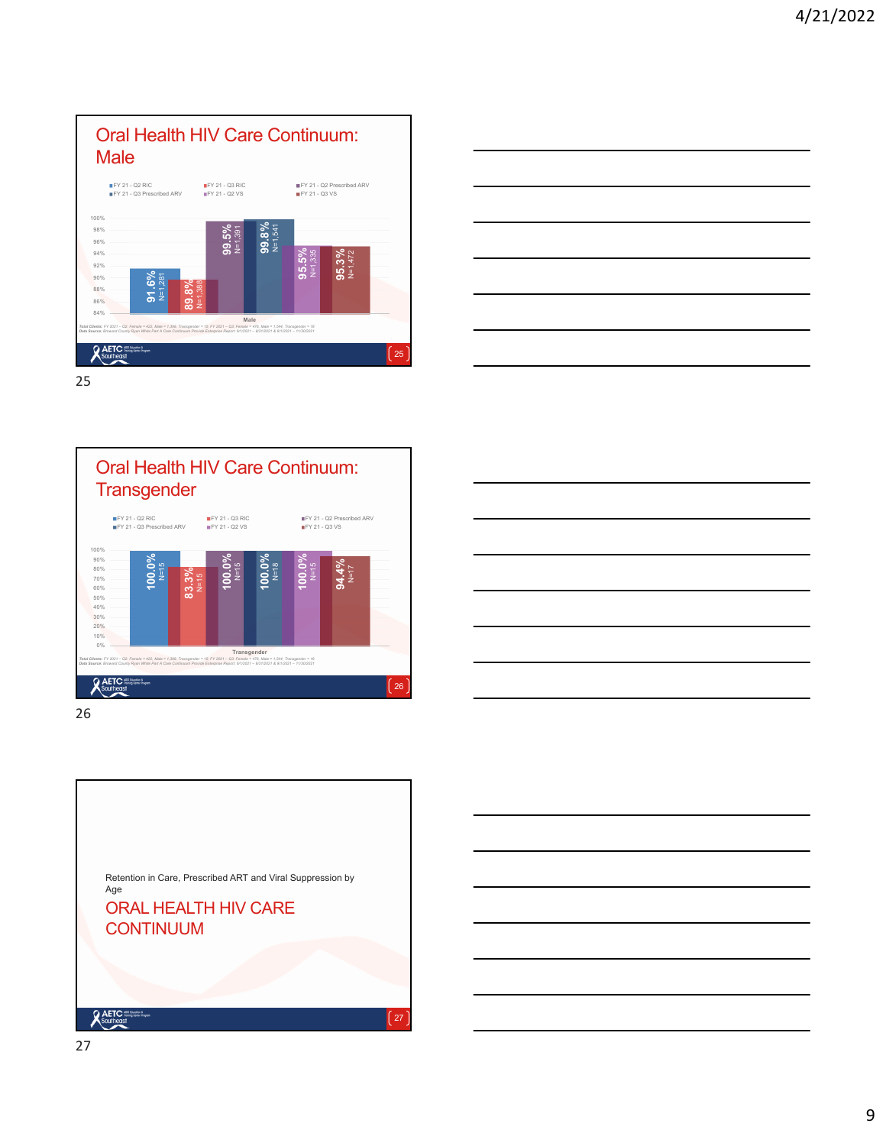



Oral Health HIV Care Continuum: **Transgender** FY 21 - Q2 RIC<br>FY 21 - Q3 Prescribed ARV FY 21 - Q3 RIC FY 21 - Q2 Prescribed ARV<br>FY 21 - Q2 VS FY 21 - Q3 VS 100% **100.0% 100.0%** 90%<br>80%<br>70% **100.0% 94.4% 100.0%** N=15 N=15 N=18 N=15 N=17 **83.3%** N=15 60% 40% 50% 20% 30% 10% 0% **Transgender** *Total Clients: FY 2021 – Q2: Female = 422, Male = 1,398, Transgender = 15; FY 2021 – Q3: Female = 476, Male = 1,544, Transgender = 18 Data Source: Broward County Ryan White Part A Care Continuum Provide Enterprise Report: 6/1/2021 – 8/31/2021 & 9/1/2021 – 11/30/2021* **AETC**  $\left(26\right)$ 

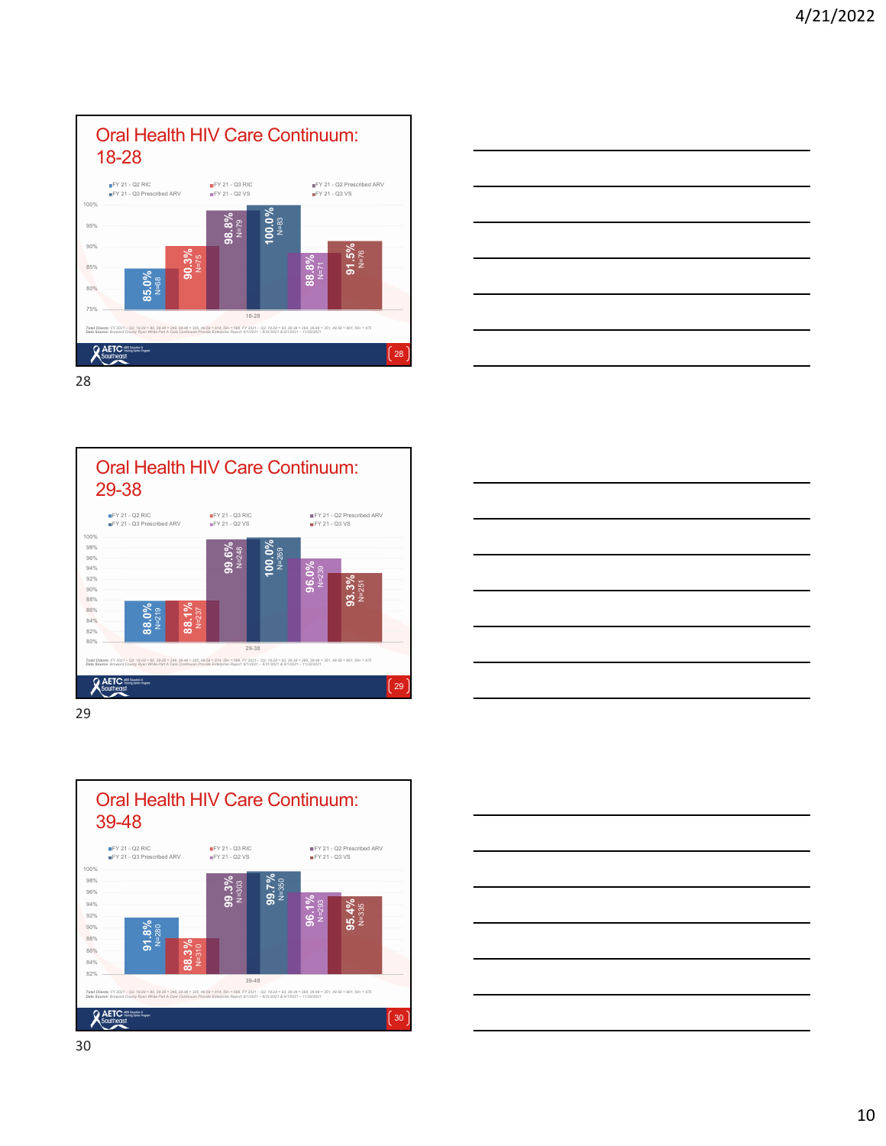



Oral Health HIV Care Continuum: 29-38 FY 21 - Q2 RIC<br>FY 21 - Q3 Prescribed ARV ■ FY 21 - Q3 RIC FY 21 - Q2 Prescribed ARV<br>■ FY 21 - Q2 VS FY 21 - Q3 VS 100% 98% **99.6% 100.0%** N=269 N=248 96% **96.0%** 94% N=239 92% **93.3%** N=251 90% 88% **88.0%** 86% N=219 N=237 84% **88.1%** 82% 80% 29-38 Total Clients: FY 2021 – Q2: 18-28 = 80, 29-38 = 249, 39-48 = 305, 49-58 = 614, 59+ = 588, FY 2021 – Q3: 18-28 = 83, 29-38 = 269, 39-48 = 351, 49-58 = 661, 59+ = 675<br>Data Source: Broward County Ryan White Part A Care Cont **AETC**  $\left(29\right)$ 

29





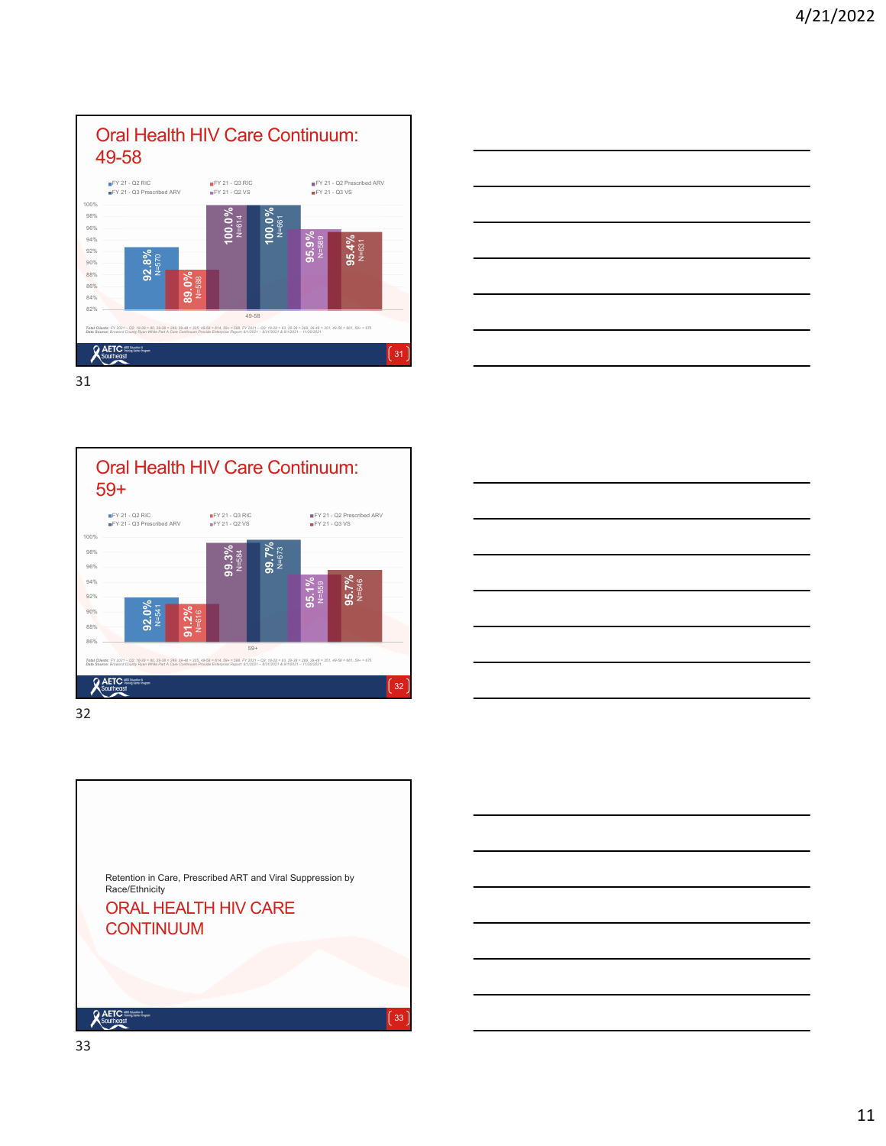



Oral Health HIV Care Continuum: 59+ FY 21 - Q2 RIC<br>FY 21 - Q3 Prescribed ARV ■ FY 21 - Q3 RIC FY 21 - Q2 Prescribed ARV<br>■ FY 21 - Q2 VS FY 21 - Q3 VS 100% **99.7%** N=673 98% **99.3%** N=584 96% 94% **95.1%** N=646 N=559 **95.7%** 92% **92.0%** 90% N=541 **91.2%** N=616 88% 86% 59+ Total Clients: FY 2021 – Q2: 18-28 = 80, 29-38 = 249, 39-48 = 305, 49-58 = 614, 59+ = 588, FY 2021 – Q3: 18-28 = 83, 29-38 = 269, 39-48 = 351, 49-58 = 661, 59+ = 675<br>Data Source: Broward County Ryan White Part A Care Cont **AETC** 

 $\left(32\right)$ 





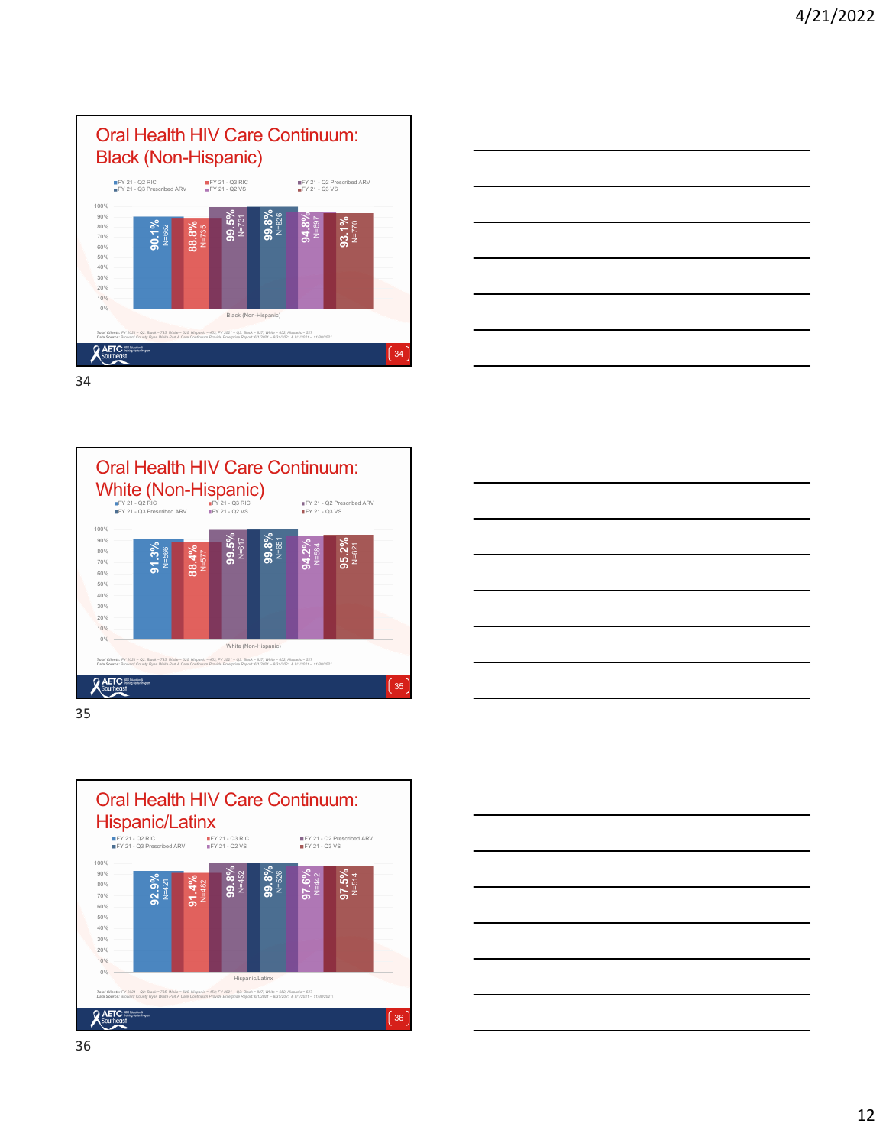



Oral Health HIV Care Continuum: White (Non-Hispanic) FY 21 - Q3 RIC<br>
FY 21 - Q2 Prescribed ARV<br>
FY 21 - Q3 VS<br>
FY 21 - Q3 VS FY 21 - Q2 RIC<br>FY 21 - Q3 Prescribed ARV 100% 90% **99.5%** N=617 **99.8%** N=651 **94.2% 95.2%** 80% N=584 N=621 **91.3%** N=566 **88.4%** N=577 70% 60% 50% 40% 30% 20% 10% 0% White (Non-Hispanic) Total Clients: FY 2021 – Q2: Black = 735, White = 620, Hispanic = 453; FY 2021 – Q3: Black = 827, White = 652, Hispanic = 527<br>Data Source: Broward County Ryan White Part A Care Continuum Provide Enterprise Report: 6/1/2021 **AETC**  $\left(35\right)$ 

35



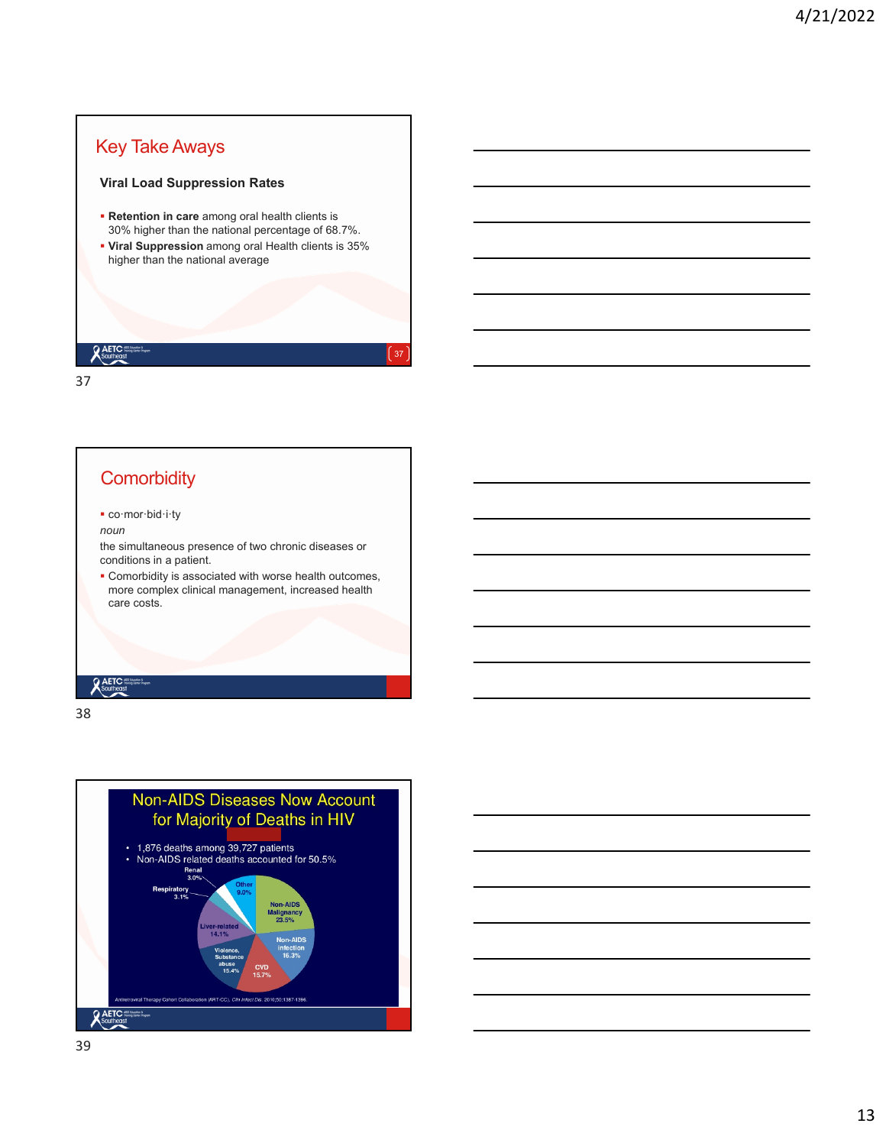# Key Take Aways

#### **Viral Load Suppression Rates**

- **Retention in care** among oral health clients is 30% higher than the national percentage of 68.7% .
- **Viral Suppression** among oral Health clients is 35% higher than the national average

| <b>AETC</b> NOS LONGITY CONTROLLER |  |  |
|------------------------------------|--|--|
| ς.<br>د                            |  |  |

37

# **Comorbidity** • co·mor·bid·i·ty

*noun*

the simultaneous presence of two chronic diseases or conditions in a patient.

 Comorbidity is associated with worse health outcomes, more complex clinical management, increased health care costs.

38

**AETC**<br>Southed



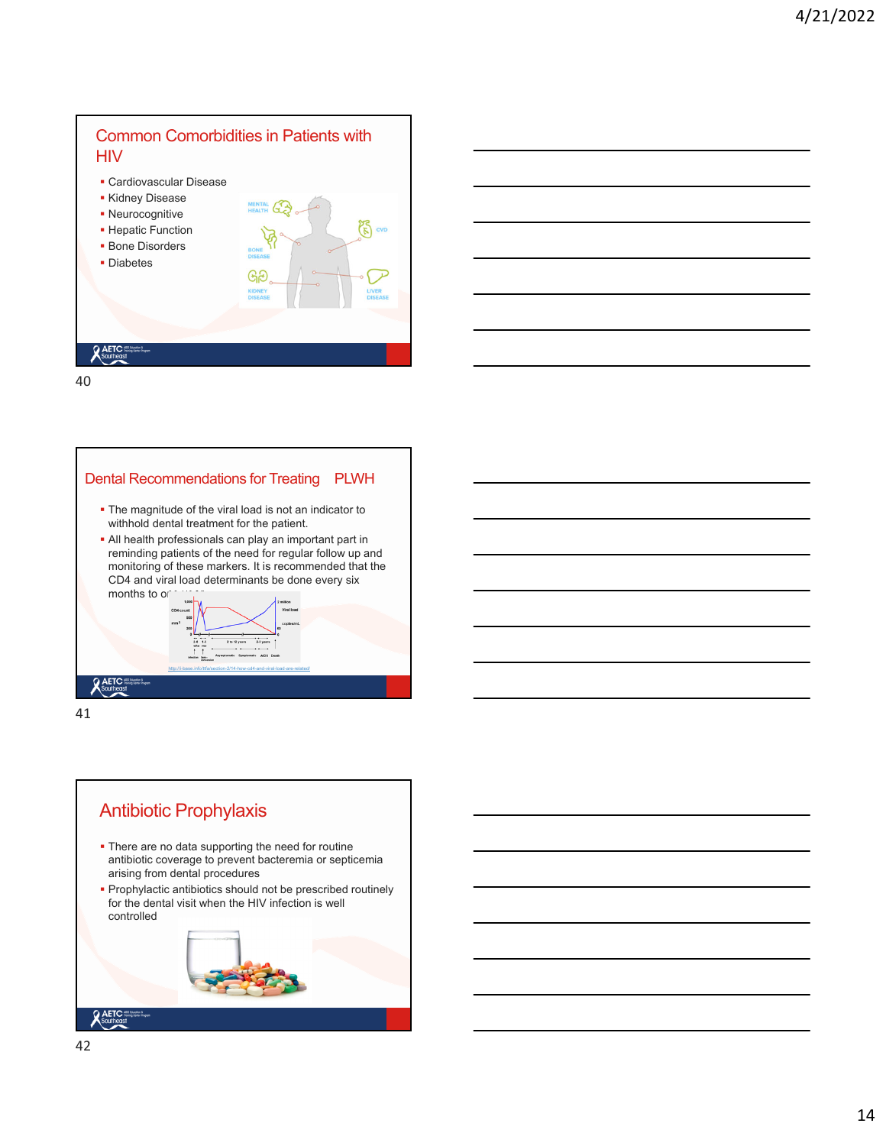

40